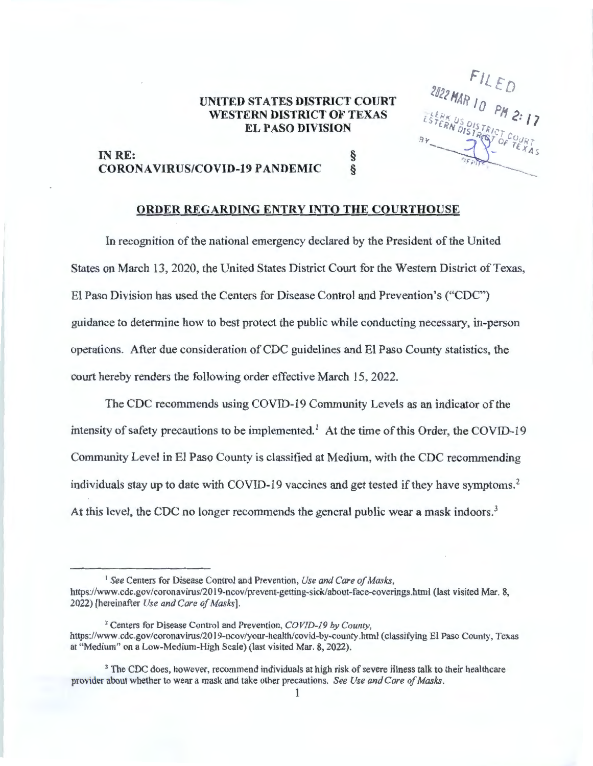## **UNITED STATES DISTRICT COURT WESTERN DISTRICT OF TEXAS EL PASO DIVISION**

 $\begin{array}{c}\n 2022 \text{ MAR} & 11 \text{ ED} \\
\hline\n 2022 \text{ MAR} & 10 \text{ PM} & 2:17 \\
\text{STERN DISTEAD} & 2:17\n \end{array}$ 

---

## **IN RE:** § **CORONAVIRUS/COVID-19 PANDEMIC** §

## **ORDER REGARDING ENTRY INTO THE COURTHOUSE**

In recognition of the national emergency declared by the President of the United States on March 13, 2020, the United States District Court for the Western District of Texas, El Paso Division has used the Centers for Disease Control and Prevention's ("CDC") guidance to determine how to best protect the public while conducting necessary, in-person operations. After due consideration of CDC guidelines and El Paso County statistics, the court hereby renders the following order effective March 15, 2022.

The CDC recommends using COVID-19 Community Levels as an indicator of the intensity of safety precautions to be implemented.<sup>1</sup> At the time of this Order, the COVID-19 Community Level in El Paso County is classified at Medium, with the CDC recommending individuals stay up to date with COVID-19 vaccines and get tested if they have symptoms. 2 At this level, the CDC no longer recommends the general public wear a mask indoors.<sup>3</sup>

<sup>&</sup>lt;sup>1</sup> See Centers for Disease Control and Prevention, *Use and Care of Masks*, https://www.cdc.gov/coronavirus/2019-ncov/prevent-getting-sick/about-face-coverings.html (last visited Mar. 8, 2022) [hereinafter *Use and Care of Masks].* 

<sup>2</sup>Centers for Disease Control and Prevention, *COVID-19 by County,*  https://www.cdc.gov/coronavirus/2019-ncov/your-health/covid-by-county.html (classifying El Paso County, Texas at "Medium" on a Low-Medium-High Scale) (last visited Mar. 8, 2022).

<sup>&</sup>lt;sup>3</sup> The CDC does, however, recommend individuals at high risk of severe illness talk to their healthcare provider about whether to wear a mask and take other precautions. *See Use and Care of Masks.*